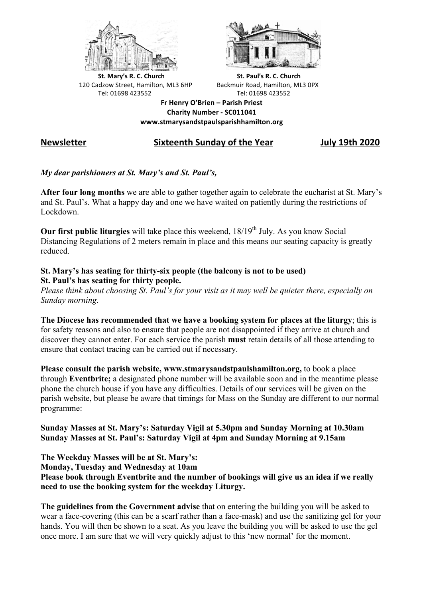



**St.** Mary's R. C. Church St. Paul's R. C. Church 120 Cadzow Street, Hamilton, ML3 6HP Backmuir Road, Hamilton, ML3 0PX Tel: 01698 423552 Tel: 01698 423552

**Fr Henry O'Brien – Parish Priest Charity Number - SC011041 www.stmarysandstpaulsparishhamilton.org**

# **Newsletter Sixteenth Sunday of the Year July 19th 2020**

## *My dear parishioners at St. Mary's and St. Paul's,*

**After four long months** we are able to gather together again to celebrate the eucharist at St. Mary's and St. Paul's. What a happy day and one we have waited on patiently during the restrictions of Lockdown.

**Our first public liturgies** will take place this weekend,  $18/19<sup>th</sup>$  July. As you know Social Distancing Regulations of 2 meters remain in place and this means our seating capacity is greatly reduced.

#### **St. Mary's has seating for thirty-six people (the balcony is not to be used) St. Paul's has seating for thirty people.**

*Please think about choosing St. Paul's for your visit as it may well be quieter there, especially on Sunday morning.*

**The Diocese has recommended that we have a booking system for places at the liturgy**; this is for safety reasons and also to ensure that people are not disappointed if they arrive at church and discover they cannot enter. For each service the parish **must** retain details of all those attending to ensure that contact tracing can be carried out if necessary.

**Please consult the parish website, www.stmarysandstpaulshamilton.org,** to book a place through **Eventbrite;** a designated phone number will be available soon and in the meantime please phone the church house if you have any difficulties. Details of our services will be given on the parish website, but please be aware that timings for Mass on the Sunday are different to our normal programme:

### **Sunday Masses at St. Mary's: Saturday Vigil at 5.30pm and Sunday Morning at 10.30am Sunday Masses at St. Paul's: Saturday Vigil at 4pm and Sunday Morning at 9.15am**

**The Weekday Masses will be at St. Mary's: Monday, Tuesday and Wednesday at 10am Please book through Eventbrite and the number of bookings will give us an idea if we really need to use the booking system for the weekday Liturgy.**

**The guidelines from the Government advise** that on entering the building you will be asked to wear a face-covering (this can be a scarf rather than a face-mask) and use the sanitizing gel for your hands. You will then be shown to a seat. As you leave the building you will be asked to use the gel once more. I am sure that we will very quickly adjust to this 'new normal' for the moment.